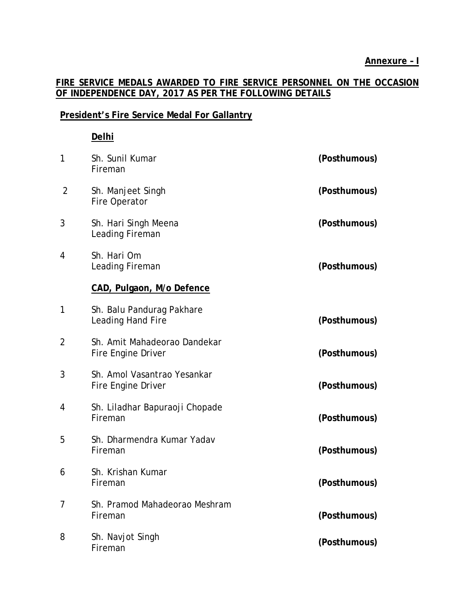# **FIRE SERVICE MEDALS AWARDED TO FIRE SERVICE PERSONNEL ON THE OCCASION OF INDEPENDENCE DAY, 2017 AS PER THE FOLLOWING DETAILS**

### **President's Fire Service Medal For Gallantry**

### **Delhi**

| 1              | Sh. Sunil Kumar<br>Fireman                         | (Posthumous) |
|----------------|----------------------------------------------------|--------------|
| $\overline{2}$ | Sh. Manjeet Singh<br>Fire Operator                 | (Posthumous) |
| 3              | Sh. Hari Singh Meena<br>Leading Fireman            | (Posthumous) |
| 4              | Sh. Hari Om<br>Leading Fireman                     | (Posthumous) |
|                | CAD, Pulgaon, M/o Defence                          |              |
| 1              | Sh. Balu Pandurag Pakhare<br>Leading Hand Fire     | (Posthumous) |
| 2              | Sh. Amit Mahadeorao Dandekar<br>Fire Engine Driver | (Posthumous) |
| 3              | Sh. Amol Vasantrao Yesankar<br>Fire Engine Driver  | (Posthumous) |
| 4              | Sh. Liladhar Bapuraoji Chopade<br>Fireman          | (Posthumous) |
| 5              | Sh. Dharmendra Kumar Yadav<br>Fireman              | (Posthumous) |
| 6              | Sh. Krishan Kumar<br>Fireman                       | (Posthumous) |
| 7              | Sh. Pramod Mahadeorao Meshram<br>Fireman           | (Posthumous) |
| 8              | Sh. Navjot Singh<br>Fireman                        | (Posthumous) |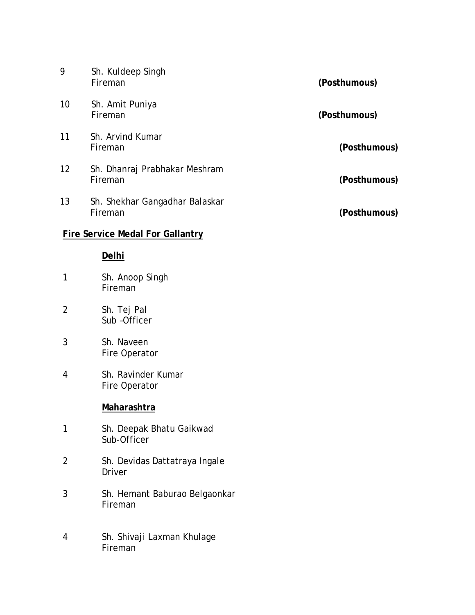| 9                                       | Sh. Kuldeep Singh<br>Fireman              | (Posthumous) |  |
|-----------------------------------------|-------------------------------------------|--------------|--|
| 10                                      | Sh. Amit Puniya<br>Fireman                | (Posthumous) |  |
| 11                                      | Sh. Arvind Kumar<br>Fireman               | (Posthumous) |  |
| 12                                      | Sh. Dhanraj Prabhakar Meshram<br>Fireman  | (Posthumous) |  |
| 13                                      | Sh. Shekhar Gangadhar Balaskar<br>Fireman | (Posthumous) |  |
| <b>Fire Service Medal For Gallantry</b> |                                           |              |  |
|                                         | Delhi                                     |              |  |
| 1                                       | Sh. Anoop Singh<br>Fireman                |              |  |
| $\overline{2}$                          | Sh. Tej Pal<br>Sub-Officer                |              |  |
| 3                                       | Sh. Naveen<br>Fire Operator               |              |  |
| 4                                       | Sh. Ravinder Kumar<br>Fire Operator       |              |  |
|                                         | Maharashtra                               |              |  |

- 1 Sh. Deepak Bhatu Gaikwad Sub-Officer
- 2 Sh. Devidas Dattatraya Ingale Driver
- 3 Sh. Hemant Baburao Belgaonkar Fireman
- 4 Sh. Shivaji Laxman Khulage Fireman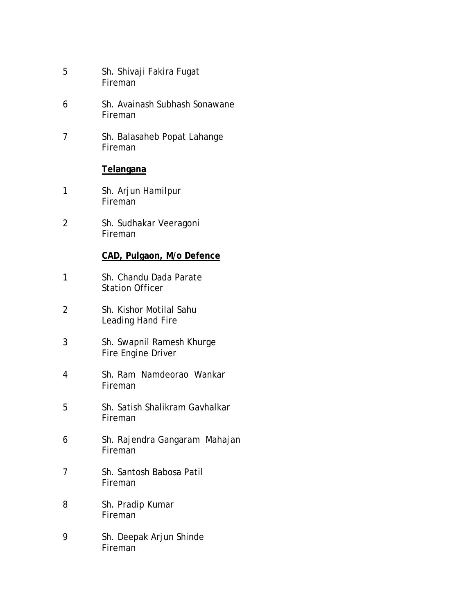5 Sh. Shivaji Fakira Fugat Fireman 6 Sh. Avainash Subhash Sonawane Fireman 7 Sh. Balasaheb Popat Lahange Fireman **Telangana** 1 Sh. Arjun Hamilpur Fireman 2 Sh. Sudhakar Veeragoni Fireman **CAD, Pulgaon, M/o Defence** 1 Sh. Chandu Dada Parate Station Officer 2 Sh. Kishor Motilal Sahu Leading Hand Fire 3 Sh. Swapnil Ramesh Khurge Fire Engine Driver 4 Sh. Ram Namdeorao Wankar Fireman 5 Sh. Satish Shalikram Gavhalkar Fireman 6 Sh. Rajendra Gangaram Mahajan Fireman 7 Sh. Santosh Babosa Patil Fireman 8 Sh. Pradip Kumar Fireman 9 Sh. Deepak Arjun Shinde

Fireman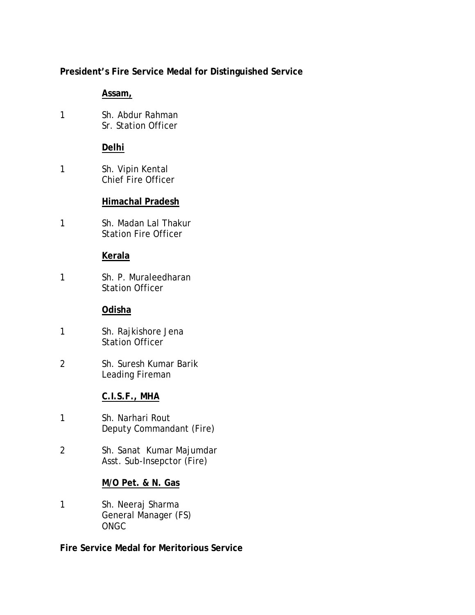# **President's Fire Service Medal for Distinguished Service**

### **Assam,**

1 Sh. Abdur Rahman Sr. Station Officer

## **Delhi**

1 Sh. Vipin Kental Chief Fire Officer

## **Himachal Pradesh**

1 Sh. Madan Lal Thakur Station Fire Officer

### **Kerala**

1 Sh. P. Muraleedharan Station Officer

### **Odisha**

- 1 Sh. Rajkishore Jena Station Officer
- 2 Sh. Suresh Kumar Barik Leading Fireman

# **C.I.S.F., MHA**

- 1 Sh. Narhari Rout Deputy Commandant (Fire)
- 2 Sh. Sanat Kumar Majumdar Asst. Sub-Insepctor (Fire)

### **M/O Pet. & N. Gas**

1 Sh. Neeraj Sharma General Manager (FS) ONGC

**Fire Service Medal for Meritorious Service**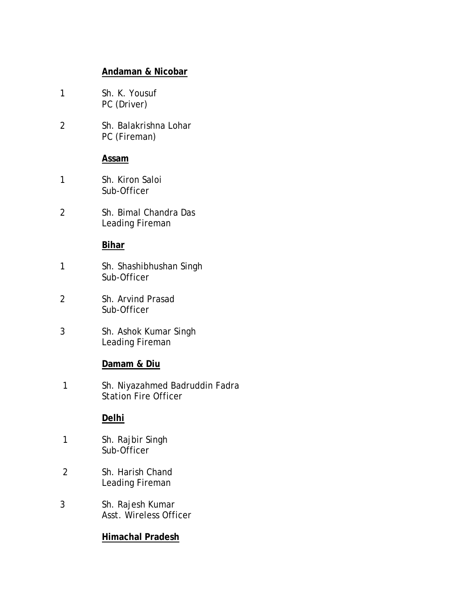### **Andaman & Nicobar**

1 Sh. K. Yousuf PC (Driver) 2 Sh. Balakrishna Lohar PC (Fireman) **Assam** 1 Sh. Kiron Saloi Sub-Officer 2 Sh. Bimal Chandra Das Leading Fireman **Bihar** 1 Sh. Shashibhushan Singh Sub-Officer 2 Sh. Arvind Prasad Sub-Officer 3 Sh. Ashok Kumar Singh Leading Fireman **Damam & Diu** 1 Sh. Niyazahmed Badruddin Fadra Station Fire Officer **Delhi** 1 Sh. Rajbir Singh Sub-Officer 2 Sh. Harish Chand Leading Fireman 3 Sh. Rajesh Kumar Asst. Wireless Officer

### **Himachal Pradesh**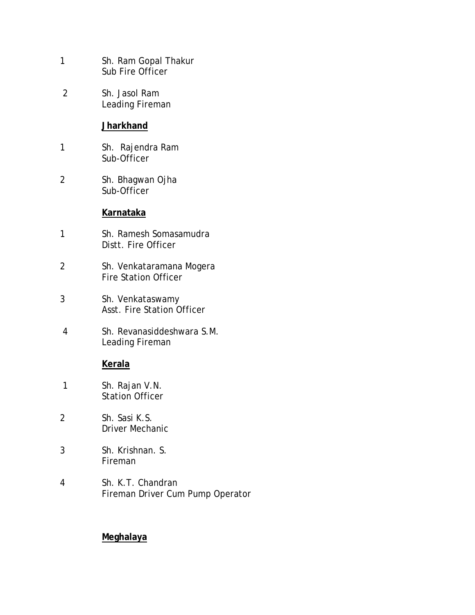- 1 Sh. Ram Gopal Thakur Sub Fire Officer
- 2 Sh. Jasol Ram Leading Fireman

#### **Jharkhand**

- 1 Sh. Rajendra Ram Sub-Officer
- 2 Sh. Bhagwan Ojha Sub-Officer

#### **Karnataka**

- 1 Sh. Ramesh Somasamudra Distt. Fire Officer
- 2 Sh. Venkataramana Mogera Fire Station Officer
- 3 Sh. Venkataswamy Asst. Fire Station Officer
- 4 Sh. Revanasiddeshwara S.M. Leading Fireman

#### **Kerala**

- 1 Sh. Rajan V.N. Station Officer
- 2 Sh. Sasi K.S. Driver Mechanic
- 3 Sh. Krishnan. S. Fireman
- 4 Sh. K.T. Chandran Fireman Driver Cum Pump Operator

### **Meghalaya**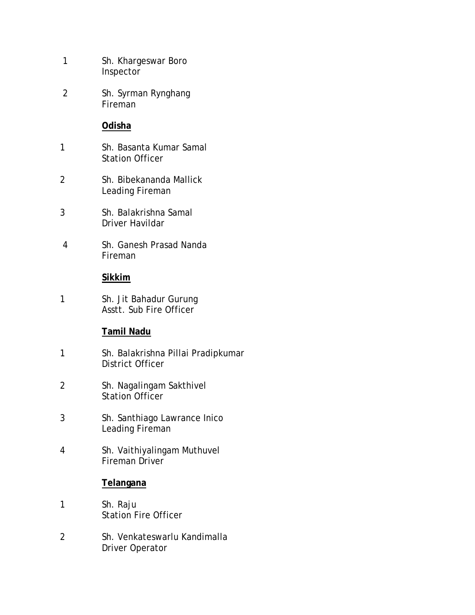1 Sh. Khargeswar Boro Inspector 2 Sh. Syrman Rynghang Fireman **Odisha** 1 Sh. Basanta Kumar Samal Station Officer 2 Sh. Bibekananda Mallick Leading Fireman 3 Sh. Balakrishna Samal Driver Havildar 4 Sh. Ganesh Prasad Nanda Fireman **Sikkim** 1 Sh. Jit Bahadur Gurung Asstt. Sub Fire Officer **Tamil Nadu** 1 Sh. Balakrishna Pillai Pradipkumar District Officer 2 Sh. Nagalingam Sakthivel Station Officer 3 Sh. Santhiago Lawrance Inico Leading Fireman 4 Sh. Vaithiyalingam Muthuvel Fireman Driver

#### **Telangana**

- 1 Sh. Raju Station Fire Officer
- 2 Sh. Venkateswarlu Kandimalla Driver Operator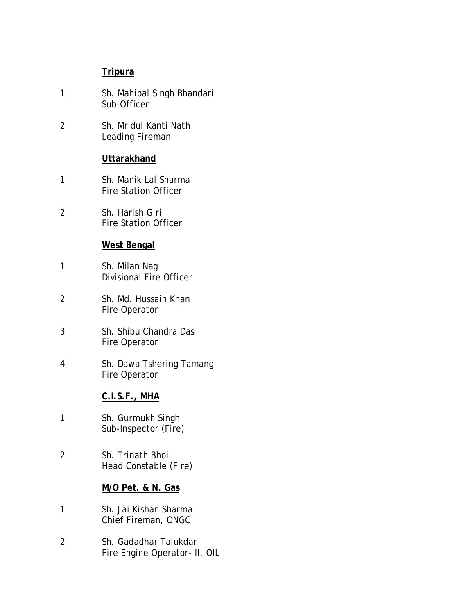## **Tripura**

- 1 Sh. Mahipal Singh Bhandari Sub-Officer
- 2 Sh. Mridul Kanti Nath Leading Fireman

### **Uttarakhand**

- 1 Sh. Manik Lal Sharma Fire Station Officer
- 2 Sh. Harish Giri Fire Station Officer

# **West Bengal**

- 1 Sh. Milan Nag Divisional Fire Officer
- 2 Sh. Md. Hussain Khan Fire Operator
- 3 Sh. Shibu Chandra Das Fire Operator
- 4 Sh. Dawa Tshering Tamang Fire Operator

### **C.I.S.F., MHA**

- 1 Sh. Gurmukh Singh Sub-Inspector (Fire)
- 2 Sh. Trinath Bhoi Head Constable (Fire)

## **M/O Pet. & N. Gas**

- 1 Sh. Jai Kishan Sharma Chief Fireman, ONGC
- 2 Sh. Gadadhar Talukdar Fire Engine Operator- II, OIL